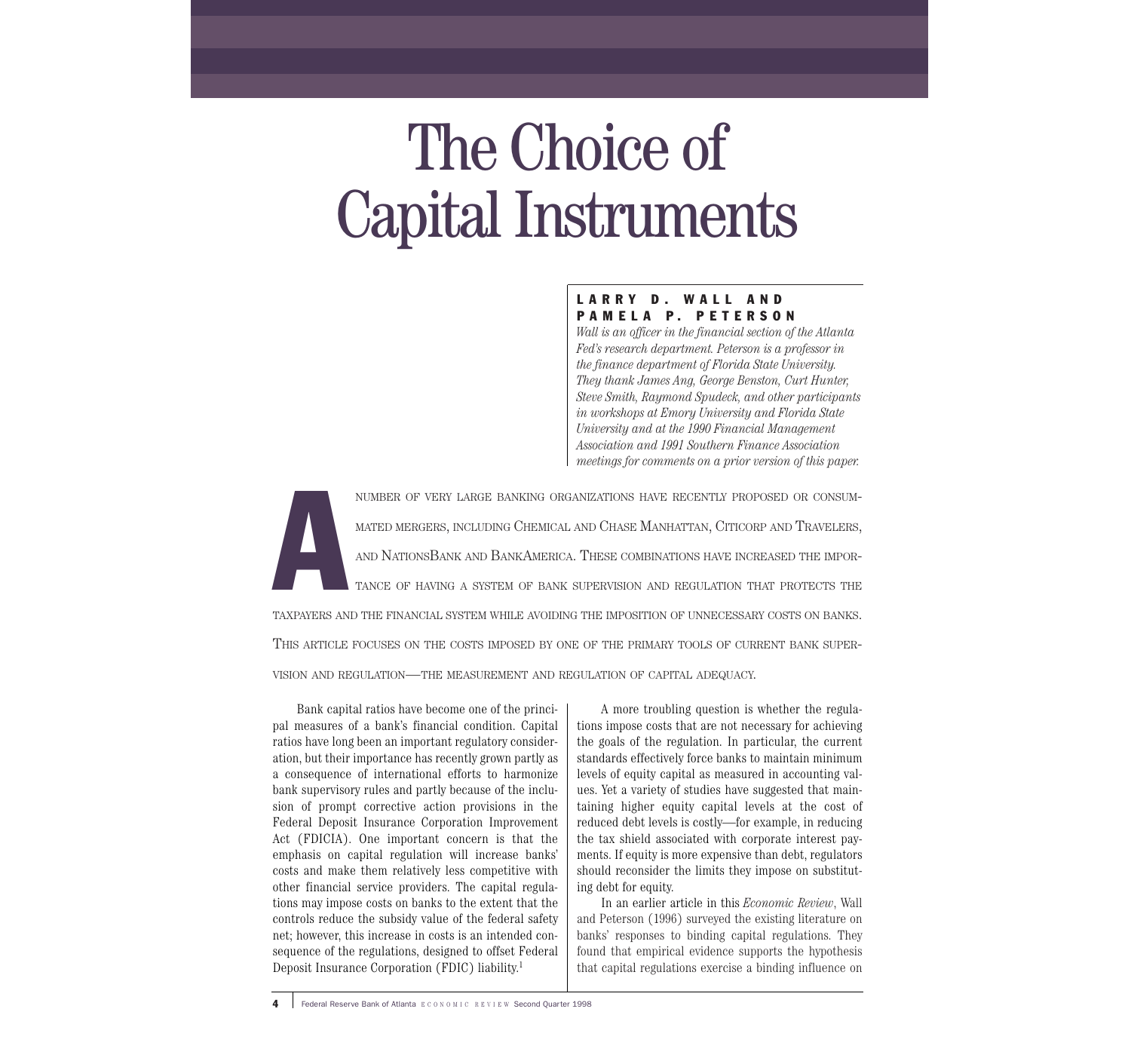# The Choice of Capital Instruments

# LARRY D. WALL AND PAMELA P. PETERSON

*Wall is an officer in the financial section of the Atlanta Fed's research department. Peterson is a professor in the finance department of Florida State University. They thank James Ang, George Benston, Curt Hunter, Steve Smith, Raymond Spudeck, and other participants in workshops at Emory University and Florida State University and at the 1990 Financial Management Association and 1991 Southern Finance Association meetings for comments on a prior version of this paper.*

A NUMBER OF VERY LARGE BANKING ORGANIZATIONS HAVE RECENTLY PROPOSED OR CONSUM-MATED MERGERS, INCLUDING CHEMICAL AND CHASE MANHATTAN, CITICORP AND TRAVELERS, AND NATIONSBANK AND BANKAMERICA. THESE COMBINATIONS HAVE INCREASED THE IMPOR-TANCE OF HAVING A SYSTEM OF BANK SUPERVISION AND REGULATION THAT PROTECTS THE TAXPAYERS AND THE FINANCIAL SYSTEM WHILE AVOIDING THE IMPOSITION OF UNNECESSARY COSTS ON BANKS. THIS ARTICLE FOCUSES ON THE COSTS IMPOSED BY ONE OF THE PRIMARY TOOLS OF CURRENT BANK SUPER-

VISION AND REGULATION—THE MEASUREMENT AND REGULATION OF CAPITAL ADEQUACY.

Bank capital ratios have become one of the principal measures of a bank's financial condition. Capital ratios have long been an important regulatory consideration, but their importance has recently grown partly as a consequence of international efforts to harmonize bank supervisory rules and partly because of the inclusion of prompt corrective action provisions in the Federal Deposit Insurance Corporation Improvement Act (FDICIA). One important concern is that the emphasis on capital regulation will increase banks' costs and make them relatively less competitive with other financial service providers. The capital regulations may impose costs on banks to the extent that the controls reduce the subsidy value of the federal safety net; however, this increase in costs is an intended consequence of the regulations, designed to offset Federal Deposit Insurance Corporation (FDIC) liability. 1

A more troubling question is whether the regulations impose costs that are not necessary for achieving the goals of the regulation. In particular, the current standards effectively force banks to maintain minimum levels of equity capital as measured in accounting values. Yet a variety of studies have suggested that maintaining higher equity capital levels at the cost of reduced debt levels is costly—for example, in reducing the tax shield associated with corporate interest payments. If equity is more expensive than debt, regulators should reconsider the limits they impose on substituting debt for equity.

In an earlier article in this *Economic Review*, Wall and Peterson (1996) surveyed the existing literature on banks' responses to binding capital regulations. They found that empirical evidence supports the hypothesis that capital regulations exercise a binding influence on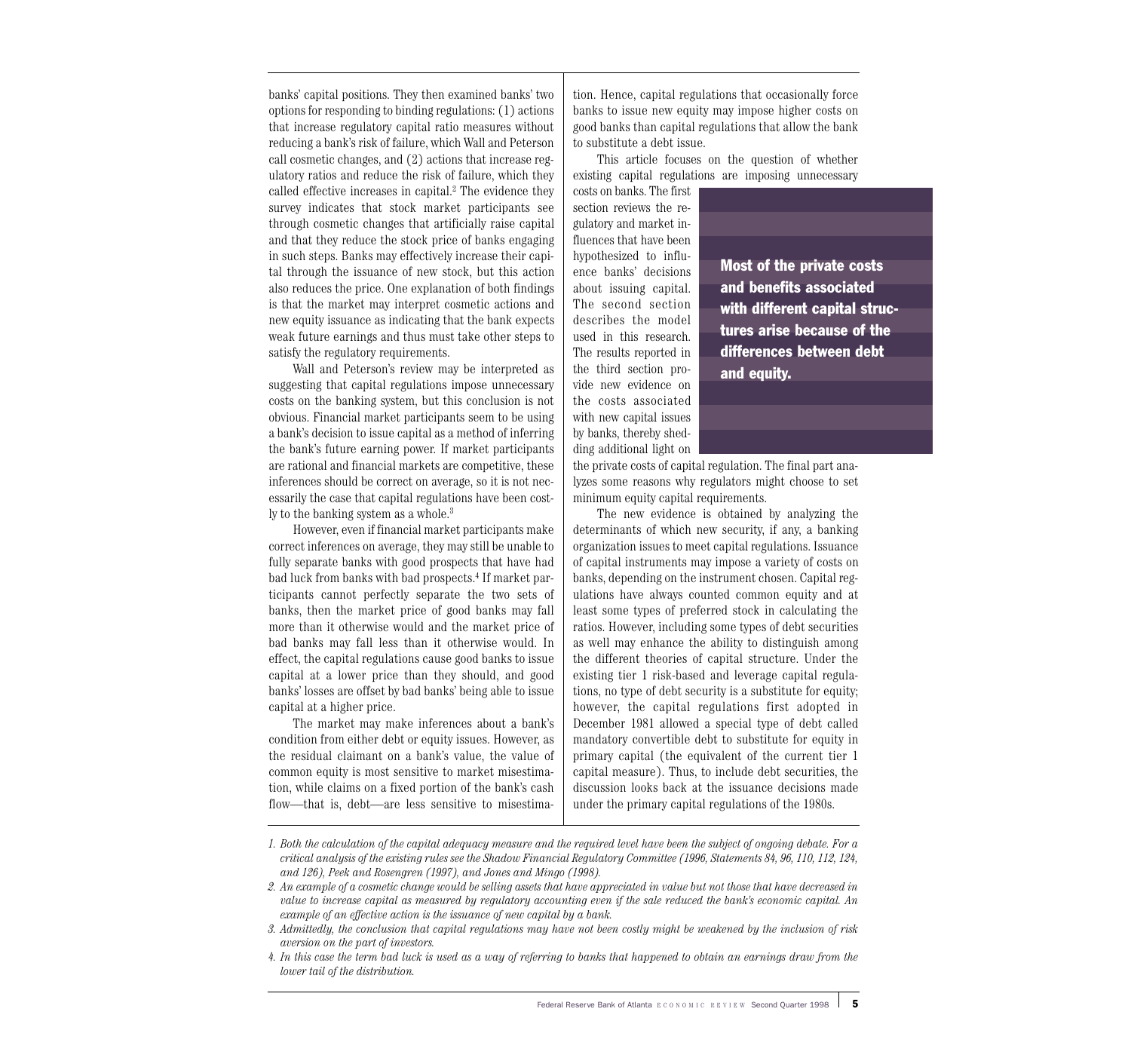banks' capital positions. They then examined banks' two options for responding to binding regulations: (1) actions that increase regulatory capital ratio measures without reducing a bank's risk of failure, which Wall and Peterson call cosmetic changes, and (2) actions that increase regulatory ratios and reduce the risk of failure, which they called effective increases in capital.<sup>2</sup> The evidence they survey indicates that stock market participants see through cosmetic changes that artificially raise capital and that they reduce the stock price of banks engaging in such steps. Banks may effectively increase their capital through the issuance of new stock, but this action also reduces the price. One explanation of both findings is that the market may interpret cosmetic actions and new equity issuance as indicating that the bank expects weak future earnings and thus must take other steps to satisfy the regulatory requirements.

Wall and Peterson's review may be interpreted as suggesting that capital regulations impose unnecessary costs on the banking system, but this conclusion is not obvious. Financial market participants seem to be using a bank's decision to issue capital as a method of inferring the bank's future earning power. If market participants are rational and financial markets are competitive, these inferences should be correct on average, so it is not necessarily the case that capital regulations have been costly to the banking system as a whole.<sup>3</sup>

However, even if financial market participants make correct inferences on average, they may still be unable to fully separate banks with good prospects that have had bad luck from banks with bad prospects.4 If market participants cannot perfectly separate the two sets of banks, then the market price of good banks may fall more than it otherwise would and the market price of bad banks may fall less than it otherwise would. In effect, the capital regulations cause good banks to issue capital at a lower price than they should, and good banks' losses are offset by bad banks' being able to issue capital at a higher price.

The market may make inferences about a bank's condition from either debt or equity issues. However, as the residual claimant on a bank's value, the value of common equity is most sensitive to market misestimation, while claims on a fixed portion of the bank's cash flow—that is, debt—are less sensitive to misestimation. Hence, capital regulations that occasionally force banks to issue new equity may impose higher costs on good banks than capital regulations that allow the bank to substitute a debt issue.

This article focuses on the question of whether existing capital regulations are imposing unnecessary

costs on banks. The first section reviews the regulatory and market influences that have been hypothesized to influence banks' decisions about issuing capital. The second section describes the model used in this research. The results reported in the third section provide new evidence on the costs associated with new capital issues by banks, thereby shedding additional light on

Most of the private costs and benefits associated with different capital structures arise because of the differences between debt and equity.

the private costs of capital regulation. The final part analyzes some reasons why regulators might choose to set minimum equity capital requirements.

The new evidence is obtained by analyzing the determinants of which new security, if any, a banking organization issues to meet capital regulations. Issuance of capital instruments may impose a variety of costs on banks, depending on the instrument chosen. Capital regulations have always counted common equity and at least some types of preferred stock in calculating the ratios. However, including some types of debt securities as well may enhance the ability to distinguish among the different theories of capital structure. Under the existing tier 1 risk-based and leverage capital regulations, no type of debt security is a substitute for equity; however, the capital regulations first adopted in December 1981 allowed a special type of debt called mandatory convertible debt to substitute for equity in primary capital (the equivalent of the current tier 1 capital measure). Thus, to include debt securities, the discussion looks back at the issuance decisions made under the primary capital regulations of the 1980s.

*<sup>1.</sup> Both the calculation of the capital adequacy measure and the required level have been the subject of ongoing debate. For a critical analysis of the existing rules see the Shadow Financial Regulatory Committee (1996, Statements 84, 96, 110, 112, 124, and 126), Peek and Rosengren (1997), and Jones and Mingo (1998).*

*<sup>2.</sup> An example of a cosmetic change would be selling assets that have appreciated in value but not those that have decreased in value to increase capital as measured by regulatory accounting even if the sale reduced the bank's economic capital. An example of an effective action is the issuance of new capital by a bank.*

*<sup>3.</sup> Admittedly, the conclusion that capital regulations may have not been costly might be weakened by the inclusion of risk aversion on the part of investors.*

*<sup>4.</sup> In this case the term bad luck is used as a way of referring to banks that happened to obtain an earnings draw from the lower tail of the distribution.*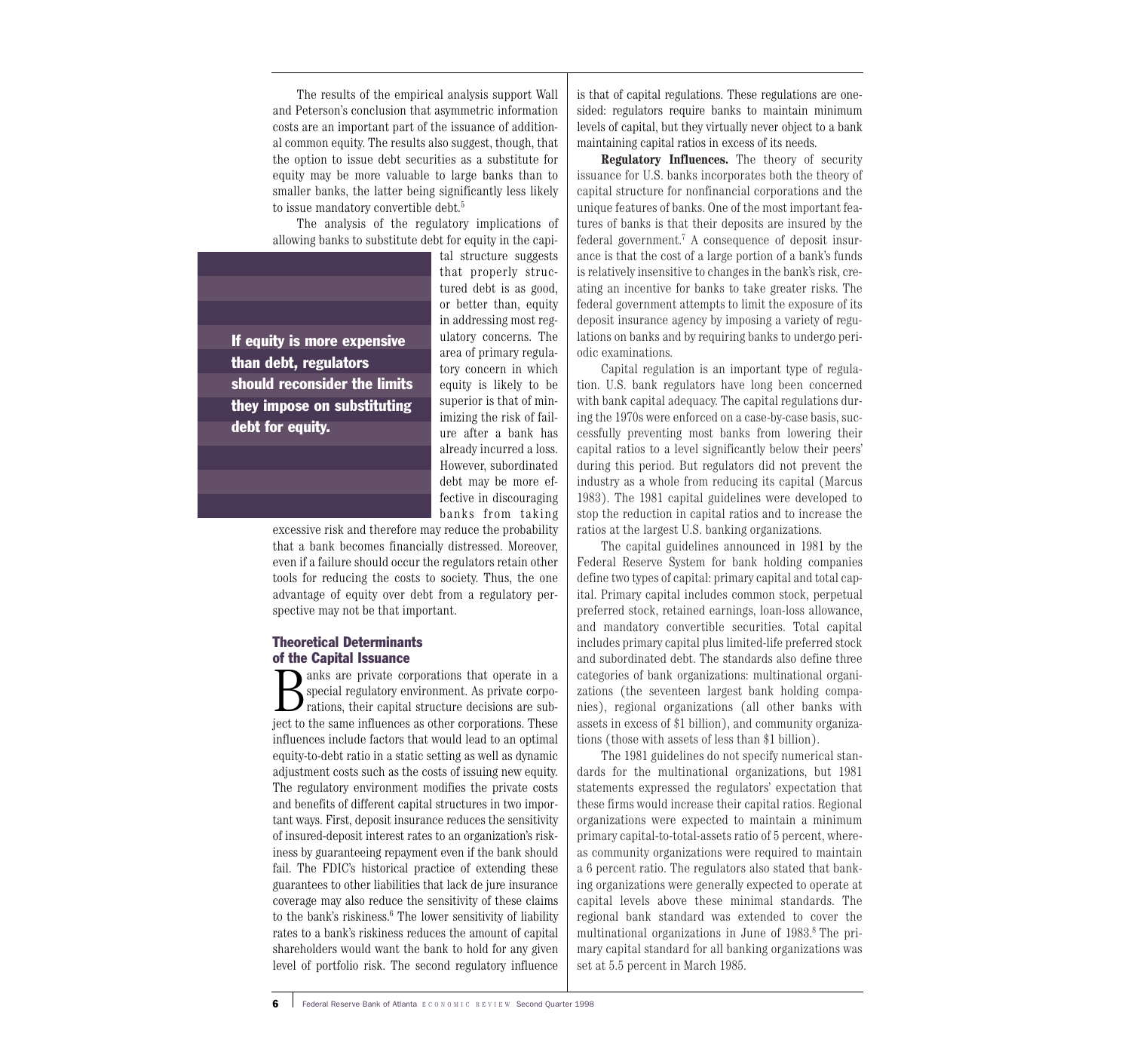The results of the empirical analysis support Wall and Peterson's conclusion that asymmetric information costs are an important part of the issuance of additional common equity. The results also suggest, though, that the option to issue debt securities as a substitute for equity may be more valuable to large banks than to smaller banks, the latter being significantly less likely to issue mandatory convertible debt.<sup>5</sup>

The analysis of the regulatory implications of allowing banks to substitute debt for equity in the capi-

If equity is more expensive than debt, regulators should reconsider the limits they impose on substituting debt for equity.

tal structure suggests that properly structured debt is as good, or better than, equity in addressing most regulatory concerns. The area of primary regulatory concern in which equity is likely to be superior is that of minimizing the risk of failure after a bank has already incurred a loss. However, subordinated debt may be more effective in discouraging banks from taking

excessive risk and therefore may reduce the probability that a bank becomes financially distressed. Moreover, even if a failure should occur the regulators retain other tools for reducing the costs to society. Thus, the one advantage of equity over debt from a regulatory perspective may not be that important.

#### Theoretical Determinants of the Capital Issuance

**B** anks are private corporations that operate in a special regulatory environment. As private corporations, their capital structure decisions are subspecial regulatory environment. As private corpoject to the same influences as other corporations. These influences include factors that would lead to an optimal equity-to-debt ratio in a static setting as well as dynamic adjustment costs such as the costs of issuing new equity. The regulatory environment modifies the private costs and benefits of different capital structures in two important ways. First, deposit insurance reduces the sensitivity of insured-deposit interest rates to an organization's riskiness by guaranteeing repayment even if the bank should fail. The FDIC's historical practice of extending these guarantees to other liabilities that lack de jure insurance coverage may also reduce the sensitivity of these claims to the bank's riskiness.<sup>6</sup> The lower sensitivity of liability rates to a bank's riskiness reduces the amount of capital shareholders would want the bank to hold for any given level of portfolio risk. The second regulatory influence is that of capital regulations. These regulations are onesided: regulators require banks to maintain minimum levels of capital, but they virtually never object to a bank maintaining capital ratios in excess of its needs.

**Regulatory Influences.** The theory of security issuance for U.S. banks incorporates both the theory of capital structure for nonfinancial corporations and the unique features of banks. One of the most important features of banks is that their deposits are insured by the federal government.7 A consequence of deposit insurance is that the cost of a large portion of a bank's funds is relatively insensitive to changes in the bank's risk, creating an incentive for banks to take greater risks. The federal government attempts to limit the exposure of its deposit insurance agency by imposing a variety of regulations on banks and by requiring banks to undergo periodic examinations.

Capital regulation is an important type of regulation. U.S. bank regulators have long been concerned with bank capital adequacy. The capital regulations during the 1970s were enforced on a case-by-case basis, successfully preventing most banks from lowering their capital ratios to a level significantly below their peers' during this period. But regulators did not prevent the industry as a whole from reducing its capital (Marcus 1983). The 1981 capital guidelines were developed to stop the reduction in capital ratios and to increase the ratios at the largest U.S. banking organizations.

The capital guidelines announced in 1981 by the Federal Reserve System for bank holding companies define two types of capital: primary capital and total capital. Primary capital includes common stock, perpetual preferred stock, retained earnings, loan-loss allowance, and mandatory convertible securities. Total capital includes primary capital plus limited-life preferred stock and subordinated debt. The standards also define three categories of bank organizations: multinational organizations (the seventeen largest bank holding companies), regional organizations (all other banks with assets in excess of \$1 billion), and community organizations (those with assets of less than \$1 billion).

The 1981 guidelines do not specify numerical standards for the multinational organizations, but 1981 statements expressed the regulators' expectation that these firms would increase their capital ratios. Regional organizations were expected to maintain a minimum primary capital-to-total-assets ratio of 5 percent, whereas community organizations were required to maintain a 6 percent ratio. The regulators also stated that banking organizations were generally expected to operate at capital levels above these minimal standards. The regional bank standard was extended to cover the multinational organizations in June of 1983.8 The primary capital standard for all banking organizations was set at 5.5 percent in March 1985.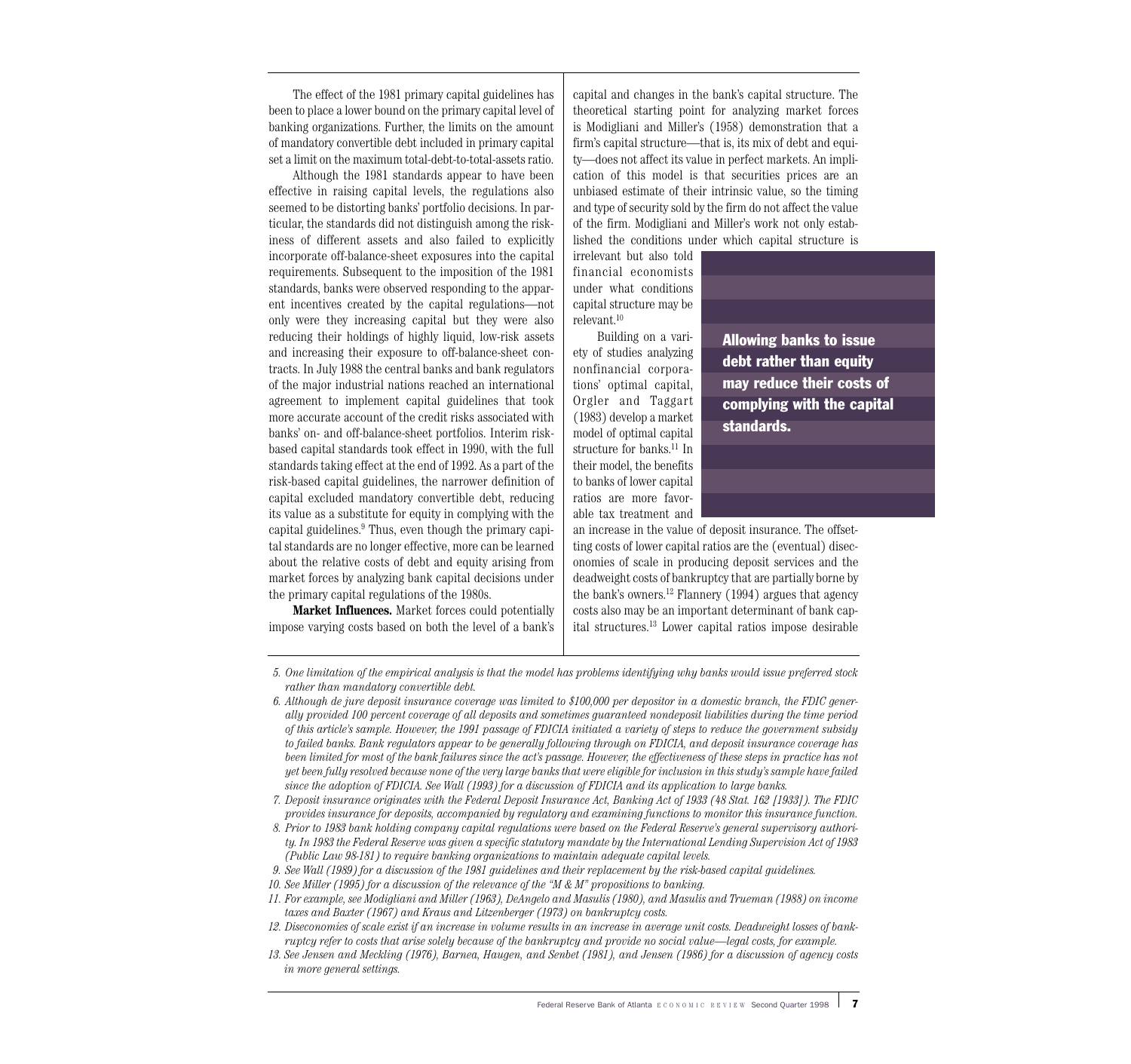The effect of the 1981 primary capital guidelines has been to place a lower bound on the primary capital level of banking organizations. Further, the limits on the amount of mandatory convertible debt included in primary capital set a limit on the maximum total-debt-to-total-assets ratio.

Although the 1981 standards appear to have been effective in raising capital levels, the regulations also seemed to be distorting banks' portfolio decisions. In particular, the standards did not distinguish among the riskiness of different assets and also failed to explicitly incorporate off-balance-sheet exposures into the capital requirements. Subsequent to the imposition of the 1981 standards, banks were observed responding to the apparent incentives created by the capital regulations—not only were they increasing capital but they were also reducing their holdings of highly liquid, low-risk assets and increasing their exposure to off-balance-sheet contracts. In July 1988 the central banks and bank regulators of the major industrial nations reached an international agreement to implement capital guidelines that took more accurate account of the credit risks associated with banks' on- and off-balance-sheet portfolios. Interim riskbased capital standards took effect in 1990, with the full standards taking effect at the end of 1992. As a part of the risk-based capital guidelines, the narrower definition of capital excluded mandatory convertible debt, reducing its value as a substitute for equity in complying with the capital guidelines.<sup>9</sup> Thus, even though the primary capital standards are no longer effective, more can be learned about the relative costs of debt and equity arising from market forces by analyzing bank capital decisions under the primary capital regulations of the 1980s.

**Market Influences.** Market forces could potentially impose varying costs based on both the level of a bank's capital and changes in the bank's capital structure. The theoretical starting point for analyzing market forces is Modigliani and Miller's (1958) demonstration that a firm's capital structure—that is, its mix of debt and equity—does not affect its value in perfect markets. An implication of this model is that securities prices are an unbiased estimate of their intrinsic value, so the timing and type of security sold by the firm do not affect the value of the firm. Modigliani and Miller's work not only established the conditions under which capital structure is

irrelevant but also told financial economists under what conditions capital structure may be relevant.10

Building on a variety of studies analyzing nonfinancial corporations' optimal capital, Orgler and Taggart (1983) develop a market model of optimal capital structure for banks.<sup>11</sup> In their model, the benefits to banks of lower capital ratios are more favorable tax treatment and

Allowing banks to issue debt rather than equity may reduce their costs of complying with the capital standards.

an increase in the value of deposit insurance. The offsetting costs of lower capital ratios are the (eventual) diseconomies of scale in producing deposit services and the deadweight costs of bankruptcy that are partially borne by the bank's owners. $^{12}$  Flannery (1994) argues that agency costs also may be an important determinant of bank capital structures.13 Lower capital ratios impose desirable

*<sup>5.</sup> One limitation of the empirical analysis is that the model has problems identifying why banks would issue preferred stock rather than mandatory convertible debt.*

*<sup>6.</sup> Although de jure deposit insurance coverage was limited to \$100,000 per depositor in a domestic branch, the FDIC generally provided 100 percent coverage of all deposits and sometimes guaranteed nondeposit liabilities during the time period of this article's sample. However, the 1991 passage of FDICIA initiated a variety of steps to reduce the government subsidy to failed banks. Bank regulators appear to be generally following through on FDICIA, and deposit insurance coverage has been limited for most of the bank failures since the act's passage. However, the effectiveness of these steps in practice has not yet been fully resolved because none of the very large banks that were eligible for inclusion in this study's sample have failed since the adoption of FDICIA. See Wall (1993) for a discussion of FDICIA and its application to large banks.*

*<sup>7.</sup> Deposit insurance originates with the Federal Deposit Insurance Act, Banking Act of 1933 (48 Stat. 162 [1933]). The FDIC provides insurance for deposits, accompanied by regulatory and examining functions to monitor this insurance function.*

*<sup>8.</sup> Prior to 1983 bank holding company capital regulations were based on the Federal Reserve's general supervisory authority. In 1983 the Federal Reserve was given a specific statutory mandate by the International Lending Supervision Act of 1983 (Public Law 98-181) to require banking organizations to maintain adequate capital levels.*

*<sup>9.</sup> See Wall (1989) for a discussion of the 1981 guidelines and their replacement by the risk-based capital guidelines.*

*<sup>10.</sup> See Miller (1995) for a discussion of the relevance of the "M & M" propositions to banking.*

*<sup>11.</sup> For example, see Modigliani and Miller (1963), DeAngelo and Masulis (1980), and Masulis and Trueman (1988) on income taxes and Baxter (1967) and Kraus and Litzenberger (1973) on bankruptcy costs.*

*<sup>12.</sup> Diseconomies of scale exist if an increase in volume results in an increase in average unit costs. Deadweight losses of bankruptcy refer to costs that arise solely because of the bankruptcy and provide no social value—legal costs, for example.*

*<sup>13.</sup> See Jensen and Meckling (1976), Barnea, Haugen, and Senbet (1981), and Jensen (1986) for a discussion of agency costs in more general settings.*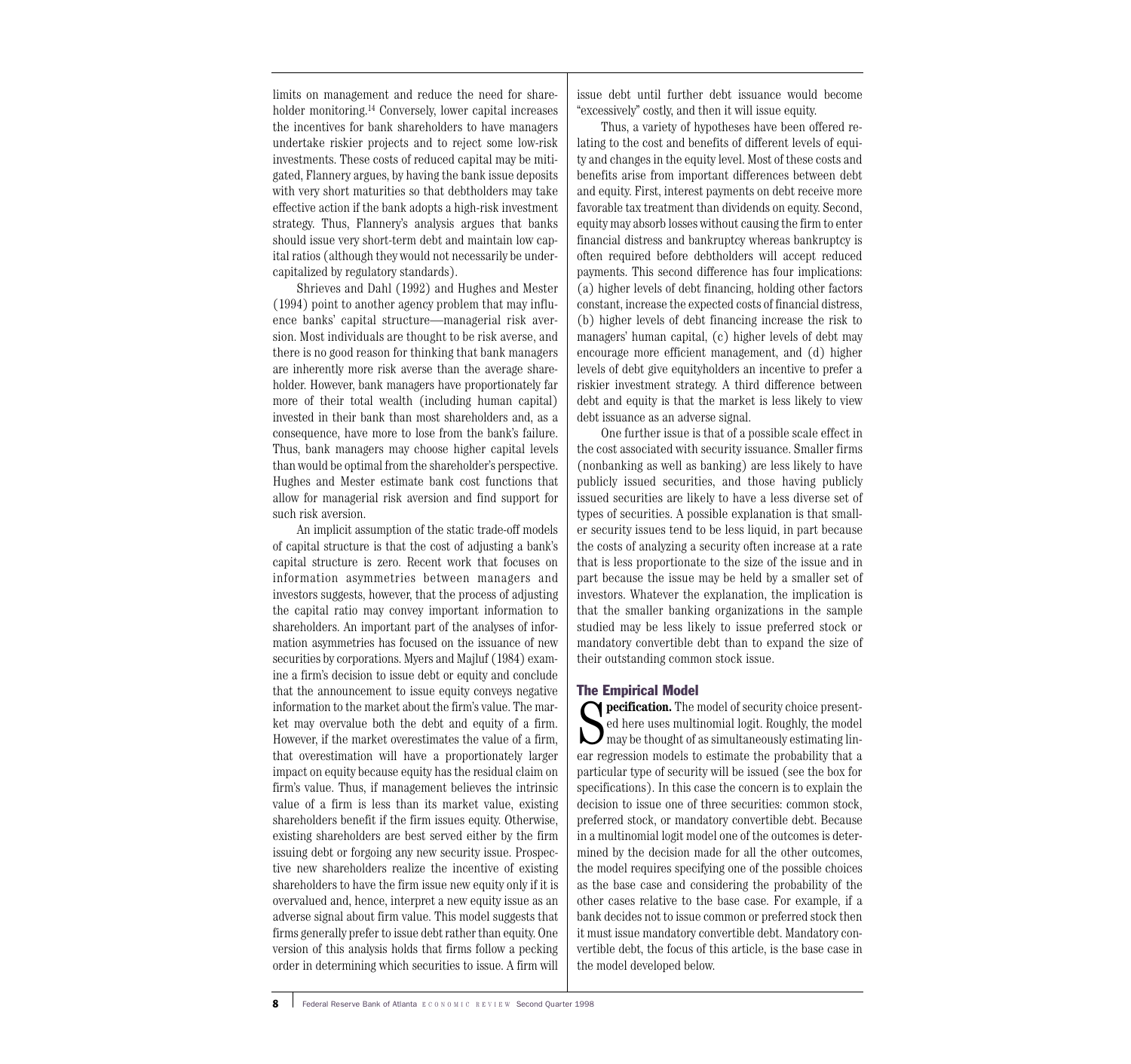limits on management and reduce the need for shareholder monitoring.14 Conversely, lower capital increases the incentives for bank shareholders to have managers undertake riskier projects and to reject some low-risk investments. These costs of reduced capital may be mitigated, Flannery argues, by having the bank issue deposits with very short maturities so that debtholders may take effective action if the bank adopts a high-risk investment strategy. Thus, Flannery's analysis argues that banks should issue very short-term debt and maintain low capital ratios (although they would not necessarily be undercapitalized by regulatory standards).

Shrieves and Dahl (1992) and Hughes and Mester (1994) point to another agency problem that may influence banks' capital structure—managerial risk aversion. Most individuals are thought to be risk averse, and there is no good reason for thinking that bank managers are inherently more risk averse than the average shareholder. However, bank managers have proportionately far more of their total wealth (including human capital) invested in their bank than most shareholders and, as a consequence, have more to lose from the bank's failure. Thus, bank managers may choose higher capital levels than would be optimal from the shareholder's perspective. Hughes and Mester estimate bank cost functions that allow for managerial risk aversion and find support for such risk aversion.

An implicit assumption of the static trade-off models of capital structure is that the cost of adjusting a bank's capital structure is zero. Recent work that focuses on information asymmetries between managers and investors suggests, however, that the process of adjusting the capital ratio may convey important information to shareholders. An important part of the analyses of information asymmetries has focused on the issuance of new securities by corporations. Myers and Majluf (1984) examine a firm's decision to issue debt or equity and conclude that the announcement to issue equity conveys negative information to the market about the firm's value. The market may overvalue both the debt and equity of a firm. However, if the market overestimates the value of a firm, that overestimation will have a proportionately larger impact on equity because equity has the residual claim on firm's value. Thus, if management believes the intrinsic value of a firm is less than its market value, existing shareholders benefit if the firm issues equity. Otherwise, existing shareholders are best served either by the firm issuing debt or forgoing any new security issue. Prospective new shareholders realize the incentive of existing shareholders to have the firm issue new equity only if it is overvalued and, hence, interpret a new equity issue as an adverse signal about firm value. This model suggests that firms generally prefer to issue debt rather than equity. One version of this analysis holds that firms follow a pecking order in determining which securities to issue. A firm will issue debt until further debt issuance would become "excessively" costly, and then it will issue equity.

Thus, a variety of hypotheses have been offered relating to the cost and benefits of different levels of equity and changes in the equity level. Most of these costs and benefits arise from important differences between debt and equity. First, interest payments on debt receive more favorable tax treatment than dividends on equity. Second, equity may absorb losses without causing the firm to enter financial distress and bankruptcy whereas bankruptcy is often required before debtholders will accept reduced payments. This second difference has four implications: (a) higher levels of debt financing, holding other factors constant, increase the expected costs of financial distress, (b) higher levels of debt financing increase the risk to managers' human capital, (c) higher levels of debt may encourage more efficient management, and (d) higher levels of debt give equityholders an incentive to prefer a riskier investment strategy. A third difference between debt and equity is that the market is less likely to view debt issuance as an adverse signal.

One further issue is that of a possible scale effect in the cost associated with security issuance. Smaller firms (nonbanking as well as banking) are less likely to have publicly issued securities, and those having publicly issued securities are likely to have a less diverse set of types of securities. A possible explanation is that smaller security issues tend to be less liquid, in part because the costs of analyzing a security often increase at a rate that is less proportionate to the size of the issue and in part because the issue may be held by a smaller set of investors. Whatever the explanation, the implication is that the smaller banking organizations in the sample studied may be less likely to issue preferred stock or mandatory convertible debt than to expand the size of their outstanding common stock issue.

#### The Empirical Model

**S pecification.** The model of security choice present-<br>ed here uses multinomial logit. Roughly, the model<br>may be thought of as simultaneously estimating lin-<br>ear rotrossion models to estimate the probability that a ed here uses multinomial logit. Roughly, the model may be thought of as simultaneously estimating linear regression models to estimate the probability that a particular type of security will be issued (see the box for specifications). In this case the concern is to explain the decision to issue one of three securities: common stock, preferred stock, or mandatory convertible debt. Because in a multinomial logit model one of the outcomes is determined by the decision made for all the other outcomes, the model requires specifying one of the possible choices as the base case and considering the probability of the other cases relative to the base case. For example, if a bank decides not to issue common or preferred stock then it must issue mandatory convertible debt. Mandatory convertible debt, the focus of this article, is the base case in the model developed below.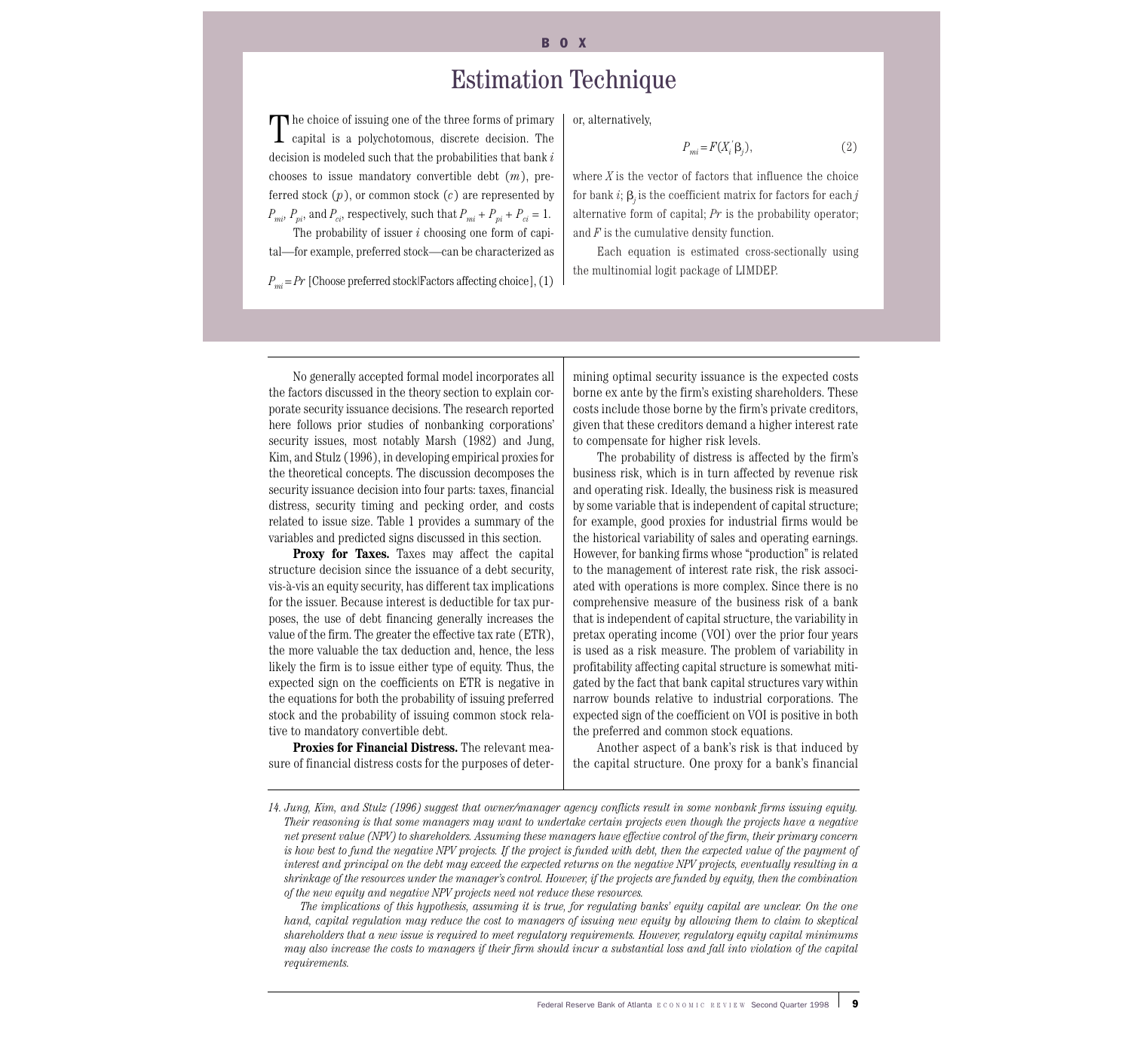#### B<sub>O</sub>X

# Estimation Technique

The choice of issuing one of the three forms of primary<br>capital is a polychotomous, discrete decision. The decision is modeled such that the probabilities that bank *i* chooses to issue mandatory convertible debt (*m*), preferred stock (*p*), or common stock (*c*) are represented by  $P_{mi}$ ,  $P_{pi}$ , and  $P_{ci}$ , respectively, such that  $P_{mi} + P_{pi} + P_{ci} = 1$ .

The probability of issuer *i* choosing one form of capital—for example, preferred stock—can be characterized as

*Pmi* = *Pr* [Choose preferred stock|Factors affecting choice], (1)

or, alternatively,

$$
P_{mi} = F(X_i' \beta_j),\tag{2}
$$

where *X* is the vector of factors that influence the choice for bank  $i$ ;  $\beta_j$  is the coefficient matrix for factors for each  $j$ alternative form of capital; *Pr* is the probability operator; and *F* is the cumulative density function.

Each equation is estimated cross-sectionally using the multinomial logit package of LIMDEP.

No generally accepted formal model incorporates all the factors discussed in the theory section to explain corporate security issuance decisions. The research reported here follows prior studies of nonbanking corporations' security issues, most notably Marsh (1982) and Jung, Kim, and Stulz (1996), in developing empirical proxies for the theoretical concepts. The discussion decomposes the security issuance decision into four parts: taxes, financial distress, security timing and pecking order, and costs related to issue size. Table 1 provides a summary of the variables and predicted signs discussed in this section.

**Proxy for Taxes.** Taxes may affect the capital structure decision since the issuance of a debt security, vis-à-vis an equity security, has different tax implications for the issuer. Because interest is deductible for tax purposes, the use of debt financing generally increases the value of the firm. The greater the effective tax rate (ETR), the more valuable the tax deduction and, hence, the less likely the firm is to issue either type of equity. Thus, the expected sign on the coefficients on ETR is negative in the equations for both the probability of issuing preferred stock and the probability of issuing common stock relative to mandatory convertible debt.

**Proxies for Financial Distress.** The relevant measure of financial distress costs for the purposes of determining optimal security issuance is the expected costs borne ex ante by the firm's existing shareholders. These costs include those borne by the firm's private creditors, given that these creditors demand a higher interest rate to compensate for higher risk levels.

The probability of distress is affected by the firm's business risk, which is in turn affected by revenue risk and operating risk. Ideally, the business risk is measured by some variable that is independent of capital structure; for example, good proxies for industrial firms would be the historical variability of sales and operating earnings. However, for banking firms whose "production" is related to the management of interest rate risk, the risk associated with operations is more complex. Since there is no comprehensive measure of the business risk of a bank that is independent of capital structure, the variability in pretax operating income (VOI) over the prior four years is used as a risk measure. The problem of variability in profitability affecting capital structure is somewhat mitigated by the fact that bank capital structures vary within narrow bounds relative to industrial corporations. The expected sign of the coefficient on VOI is positive in both the preferred and common stock equations.

Another aspect of a bank's risk is that induced by the capital structure. One proxy for a bank's financial

*The implications of this hypothesis, assuming it is true, for regulating banks' equity capital are unclear. On the one hand, capital regulation may reduce the cost to managers of issuing new equity by allowing them to claim to skeptical shareholders that a new issue is required to meet regulatory requirements. However, regulatory equity capital minimums may also increase the costs to managers if their firm should incur a substantial loss and fall into violation of the capital requirements.*

*<sup>14.</sup> Jung, Kim, and Stulz (1996) suggest that owner/manager agency conflicts result in some nonbank firms issuing equity. Their reasoning is that some managers may want to undertake certain projects even though the projects have a negative net present value (NPV) to shareholders. Assuming these managers have effective control of the firm, their primary concern is how best to fund the negative NPV projects. If the project is funded with debt, then the expected value of the payment of interest and principal on the debt may exceed the expected returns on the negative NPV projects, eventually resulting in a shrinkage of the resources under the manager's control. However, if the projects are funded by equity, then the combination of the new equity and negative NPV projects need not reduce these resources.*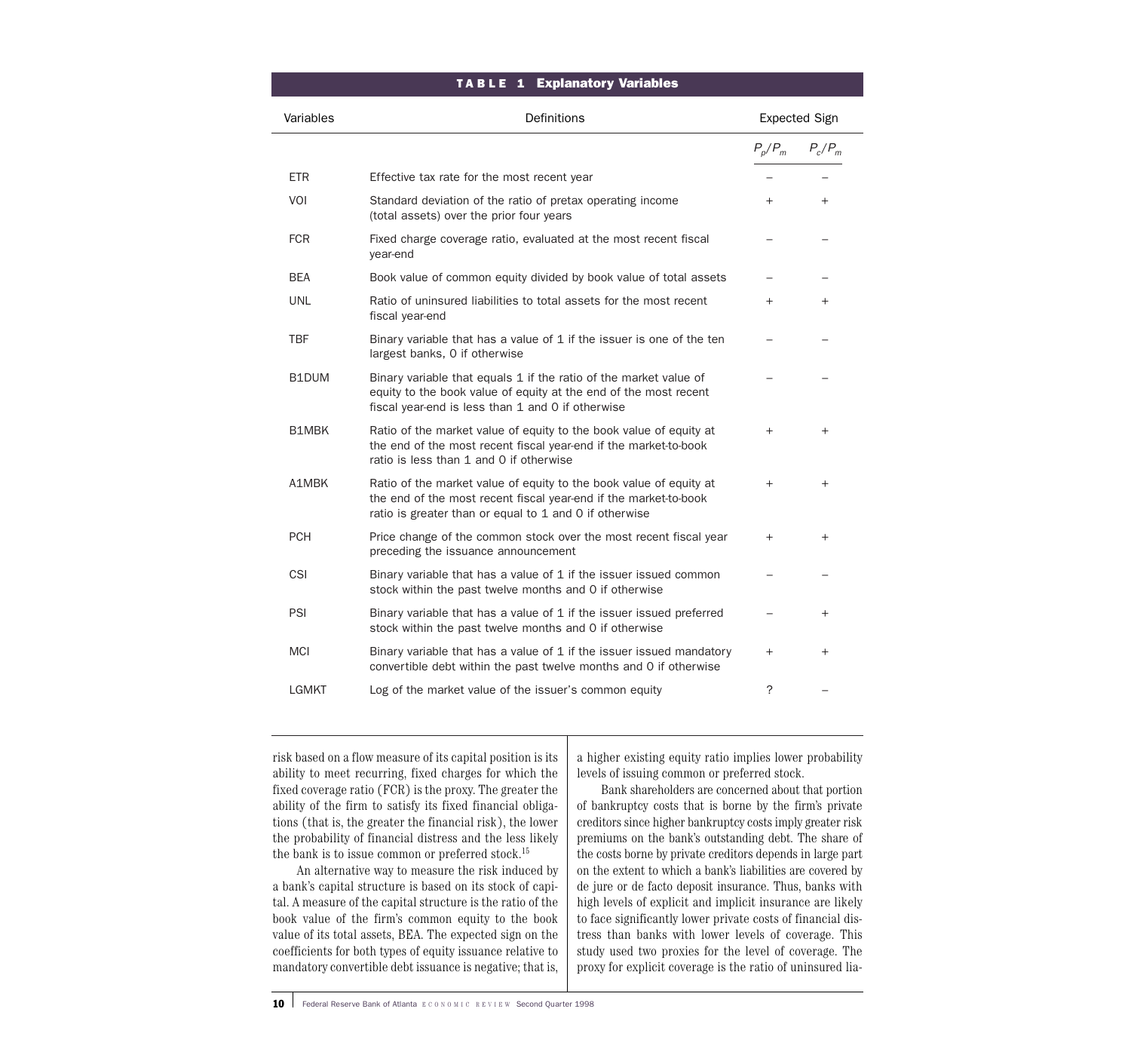#### TABLE 1 Explanatory Variables

| Variables    | Definitions                                                                                                                                                                                      | <b>Expected Sign</b> |           |
|--------------|--------------------------------------------------------------------------------------------------------------------------------------------------------------------------------------------------|----------------------|-----------|
|              |                                                                                                                                                                                                  | $P_p/P_m$            | $P_c/P_m$ |
| <b>ETR</b>   | Effective tax rate for the most recent year                                                                                                                                                      |                      |           |
| VOI          | Standard deviation of the ratio of pretax operating income<br>(total assets) over the prior four years                                                                                           | $+$                  | $+$       |
| <b>FCR</b>   | Fixed charge coverage ratio, evaluated at the most recent fiscal<br>year-end                                                                                                                     |                      |           |
| <b>BEA</b>   | Book value of common equity divided by book value of total assets                                                                                                                                |                      |           |
| <b>UNL</b>   | Ratio of uninsured liabilities to total assets for the most recent<br>fiscal year-end                                                                                                            | $^{+}$               | $^{+}$    |
| TBF          | Binary variable that has a value of 1 if the issuer is one of the ten<br>largest banks, 0 if otherwise                                                                                           |                      |           |
| B1DUM        | Binary variable that equals 1 if the ratio of the market value of<br>equity to the book value of equity at the end of the most recent<br>fiscal year-end is less than 1 and 0 if otherwise       |                      |           |
| <b>B1MBK</b> | Ratio of the market value of equity to the book value of equity at<br>the end of the most recent fiscal year-end if the market-to-book<br>ratio is less than 1 and 0 if otherwise                | $+$                  | $+$       |
| A1MBK        | Ratio of the market value of equity to the book value of equity at<br>the end of the most recent fiscal year-end if the market-to-book<br>ratio is greater than or equal to 1 and 0 if otherwise | $+$                  | $+$       |
| <b>PCH</b>   | Price change of the common stock over the most recent fiscal year<br>preceding the issuance announcement                                                                                         | $^{+}$               | $^{+}$    |
| CSI          | Binary variable that has a value of 1 if the issuer issued common<br>stock within the past twelve months and 0 if otherwise                                                                      |                      |           |
| PSI          | Binary variable that has a value of 1 if the issuer issued preferred<br>stock within the past twelve months and 0 if otherwise                                                                   |                      | $^{+}$    |
| <b>MCI</b>   | Binary variable that has a value of 1 if the issuer issued mandatory<br>convertible debt within the past twelve months and 0 if otherwise                                                        | $^{+}$               | $+$       |
| <b>LGMKT</b> | Log of the market value of the issuer's common equity                                                                                                                                            | $\tilde{?}$          |           |

risk based on a flow measure of its capital position is its ability to meet recurring, fixed charges for which the fixed coverage ratio (FCR) is the proxy. The greater the ability of the firm to satisfy its fixed financial obligations (that is, the greater the financial risk), the lower the probability of financial distress and the less likely the bank is to issue common or preferred stock.<sup>15</sup>

An alternative way to measure the risk induced by a bank's capital structure is based on its stock of capital. A measure of the capital structure is the ratio of the book value of the firm's common equity to the book value of its total assets, BEA. The expected sign on the coefficients for both types of equity issuance relative to mandatory convertible debt issuance is negative; that is, a higher existing equity ratio implies lower probability levels of issuing common or preferred stock.

Bank shareholders are concerned about that portion of bankruptcy costs that is borne by the firm's private creditors since higher bankruptcy costs imply greater risk premiums on the bank's outstanding debt. The share of the costs borne by private creditors depends in large part on the extent to which a bank's liabilities are covered by de jure or de facto deposit insurance. Thus, banks with high levels of explicit and implicit insurance are likely to face significantly lower private costs of financial distress than banks with lower levels of coverage. This study used two proxies for the level of coverage. The proxy for explicit coverage is the ratio of uninsured lia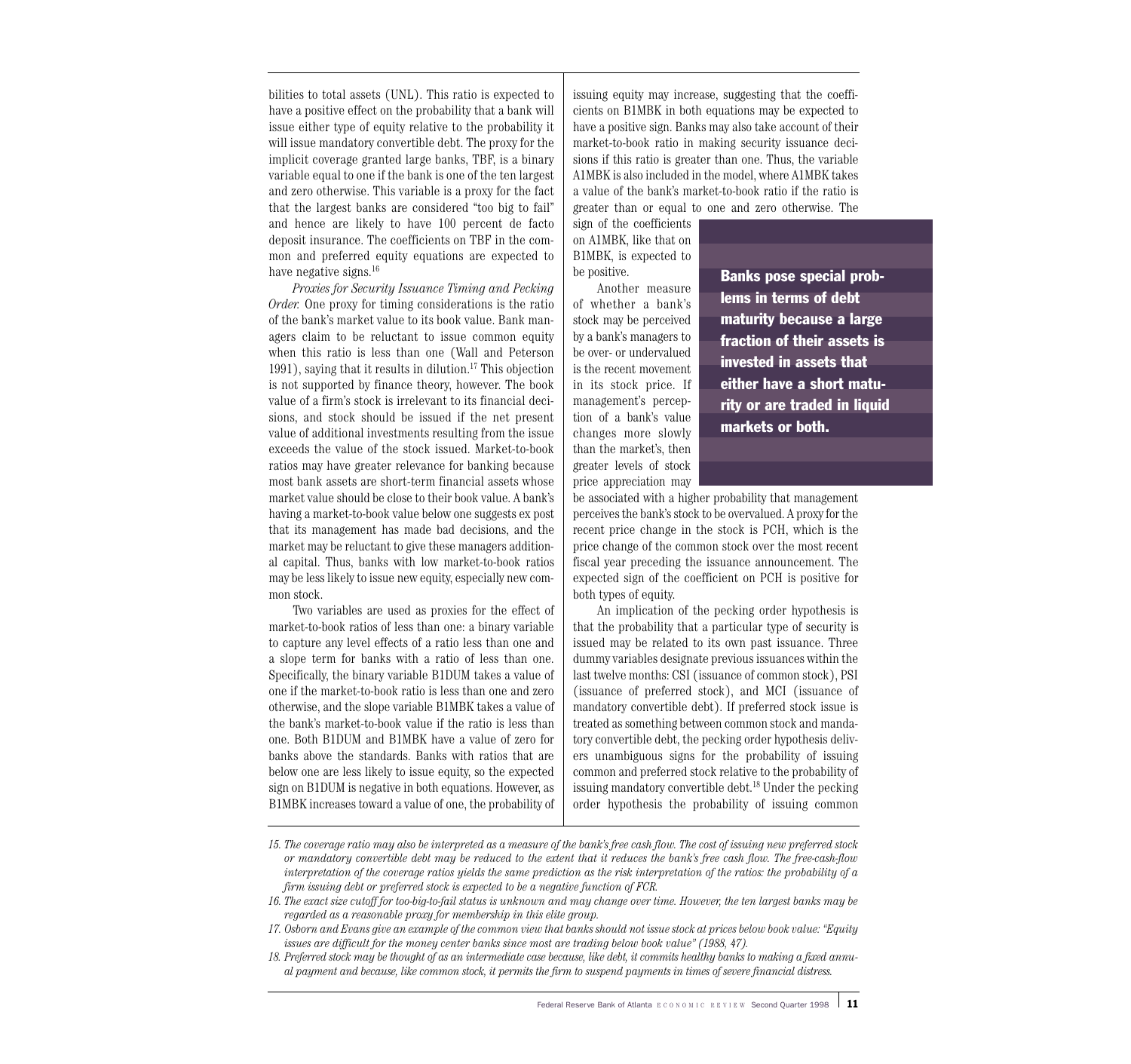bilities to total assets (UNL). This ratio is expected to have a positive effect on the probability that a bank will issue either type of equity relative to the probability it will issue mandatory convertible debt. The proxy for the implicit coverage granted large banks, TBF, is a binary variable equal to one if the bank is one of the ten largest and zero otherwise. This variable is a proxy for the fact that the largest banks are considered "too big to fail" and hence are likely to have 100 percent de facto deposit insurance. The coefficients on TBF in the common and preferred equity equations are expected to have negative signs.<sup>16</sup>

*Proxies for Security Issuance Timing and Pecking Order.* One proxy for timing considerations is the ratio of the bank's market value to its book value. Bank managers claim to be reluctant to issue common equity when this ratio is less than one (Wall and Peterson 1991), saying that it results in dilution.17 This objection is not supported by finance theory, however. The book value of a firm's stock is irrelevant to its financial decisions, and stock should be issued if the net present value of additional investments resulting from the issue exceeds the value of the stock issued. Market-to-book ratios may have greater relevance for banking because most bank assets are short-term financial assets whose market value should be close to their book value. A bank's having a market-to-book value below one suggests ex post that its management has made bad decisions, and the market may be reluctant to give these managers additional capital. Thus, banks with low market-to-book ratios may be less likely to issue new equity, especially new common stock.

Two variables are used as proxies for the effect of market-to-book ratios of less than one: a binary variable to capture any level effects of a ratio less than one and a slope term for banks with a ratio of less than one. Specifically, the binary variable B1DUM takes a value of one if the market-to-book ratio is less than one and zero otherwise, and the slope variable B1MBK takes a value of the bank's market-to-book value if the ratio is less than one. Both B1DUM and B1MBK have a value of zero for banks above the standards. Banks with ratios that are below one are less likely to issue equity, so the expected sign on B1DUM is negative in both equations. However, as B1MBK increases toward a value of one, the probability of issuing equity may increase, suggesting that the coefficients on B1MBK in both equations may be expected to have a positive sign. Banks may also take account of their market-to-book ratio in making security issuance decisions if this ratio is greater than one. Thus, the variable A1MBK is also included in the model, where A1MBK takes a value of the bank's market-to-book ratio if the ratio is greater than or equal to one and zero otherwise. The

sign of the coefficients on A1MBK, like that on B1MBK, is expected to be positive.

Another measure of whether a bank's stock may be perceived by a bank's managers to be over- or undervalued is the recent movement in its stock price. If management's perception of a bank's value changes more slowly than the market's, then greater levels of stock price appreciation may

Banks pose special problems in terms of debt maturity because a large fraction of their assets is invested in assets that either have a short maturity or are traded in liquid markets or both.

be associated with a higher probability that management perceives the bank's stock to be overvalued. A proxy for the recent price change in the stock is PCH, which is the price change of the common stock over the most recent fiscal year preceding the issuance announcement. The expected sign of the coefficient on PCH is positive for both types of equity.

An implication of the pecking order hypothesis is that the probability that a particular type of security is issued may be related to its own past issuance. Three dummy variables designate previous issuances within the last twelve months: CSI (issuance of common stock), PSI (issuance of preferred stock), and MCI (issuance of mandatory convertible debt). If preferred stock issue is treated as something between common stock and mandatory convertible debt, the pecking order hypothesis delivers unambiguous signs for the probability of issuing common and preferred stock relative to the probability of issuing mandatory convertible debt.18 Under the pecking order hypothesis the probability of issuing common

*18. Preferred stock may be thought of as an intermediate case because, like debt, it commits healthy banks to making a fixed annual payment and because, like common stock, it permits the firm to suspend payments in times of severe financial distress.*

*<sup>15.</sup> The coverage ratio may also be interpreted as a measure of the bank's free cash flow. The cost of issuing new preferred stock or mandatory convertible debt may be reduced to the extent that it reduces the bank's free cash flow. The free-cash-flow interpretation of the coverage ratios yields the same prediction as the risk interpretation of the ratios: the probability of a firm issuing debt or preferred stock is expected to be a negative function of FCR.*

*<sup>16.</sup> The exact size cutoff for too-big-to-fail status is unknown and may change over time. However, the ten largest banks may be regarded as a reasonable proxy for membership in this elite group.*

*<sup>17.</sup> Osborn and Evans give an example of the common view that banks should not issue stock at prices below book value: "Equity issues are difficult for the money center banks since most are trading below book value" (1988, 47).*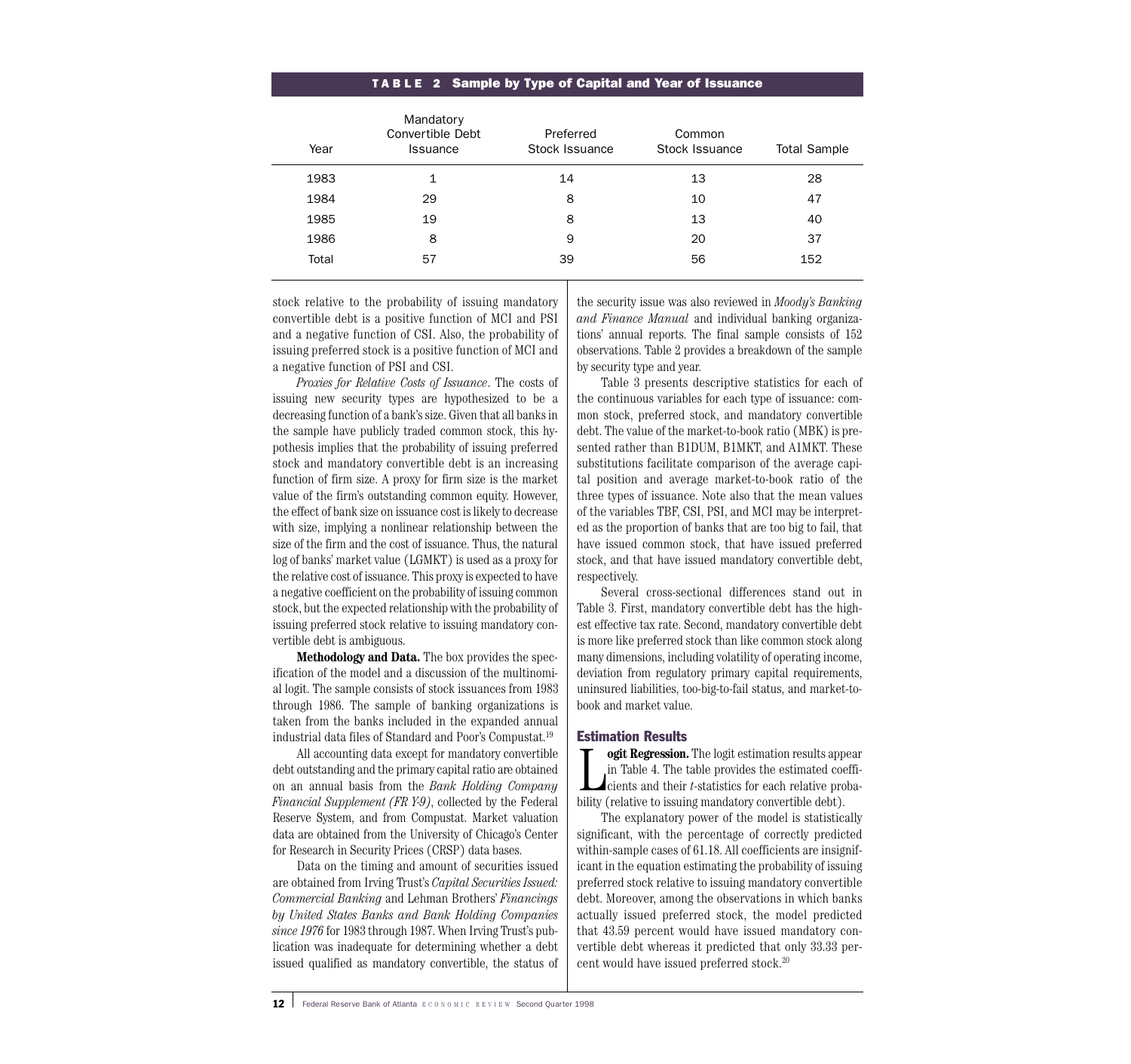| Mandatory<br>Convertible Debt<br><b>Issuance</b> | Preferred<br>Stock Issuance | Common<br>Stock Issuance | <b>Total Sample</b> |
|--------------------------------------------------|-----------------------------|--------------------------|---------------------|
| 1                                                | 14                          | 13                       | 28                  |
| 29                                               | 8                           | 10                       | 47                  |
| 19                                               | 8                           | 13                       | 40                  |
| 8                                                | 9                           | 20                       | 37                  |
| 57                                               | 39                          | 56                       | 152                 |
|                                                  |                             |                          |                     |

#### T ABLE 2 Sample by Type of Capital and Year of Issuance

stock relative to the probability of issuing mandatory convertible debt is a positive function of MCI and PSI and a negative function of CSI. Also, the probability of issuing preferred stock is a positive function of MCI and a negative function of PSI and CSI.

*Proxies for Relative Costs of Issuance*. The costs of issuing new security types are hypothesized to be a decreasing function of a bank's size. Given that all banks in the sample have publicly traded common stock, this hypothesis implies that the probability of issuing preferred stock and mandatory convertible debt is an increasing function of firm size. A proxy for firm size is the market value of the firm's outstanding common equity. However, the effect of bank size on issuance cost is likely to decrease with size, implying a nonlinear relationship between the size of the firm and the cost of issuance. Thus, the natural log of banks' market value (LGMKT) is used as a proxy for the relative cost of issuance. This proxy is expected to have a negative coefficient on the probability of issuing common stock, but the expected relationship with the probability of issuing preferred stock relative to issuing mandatory convertible debt is ambiguous.

**Methodology and Data.** The box provides the specification of the model and a discussion of the multinomial logit. The sample consists of stock issuances from 1983 through 1986. The sample of banking organizations is taken from the banks included in the expanded annual industrial data files of Standard and Poor's Compustat.19

All accounting data except for mandatory convertible debt outstanding and the primary capital ratio are obtained on an annual basis from the *Bank Holding Company Financial Supplement (FR Y-9)*, collected by the Federal Reserve System, and from Compustat. Market valuation data are obtained from the University of Chicago's Center for Research in Security Prices (CRSP) data bases.

Data on the timing and amount of securities issued are obtained from Irving Trust's *Capital Securities Issued: Commercial Banking* and Lehman Brothers' *Financings by United States Banks and Bank Holding Companies since 1976* for 1983 through 1987. When Irving Trust's publication was inadequate for determining whether a debt issued qualified as mandatory convertible, the status of the security issue was also reviewed in *Moody's Banking and Finance Manual* and individual banking organizations' annual reports. The final sample consists of 152 observations. Table 2 provides a breakdown of the sample by security type and year.

Table 3 presents descriptive statistics for each of the continuous variables for each type of issuance: common stock, preferred stock, and mandatory convertible debt. The value of the market-to-book ratio (MBK) is presented rather than B1DUM, B1MKT, and A1MKT. These substitutions facilitate comparison of the average capital position and average market-to-book ratio of the three types of issuance. Note also that the mean values of the variables TBF, CSI, PSI, and MCI may be interpreted as the proportion of banks that are too big to fail, that have issued common stock, that have issued preferred stock, and that have issued mandatory convertible debt, respectively.

Several cross-sectional differences stand out in Table 3. First, mandatory convertible debt has the highest effective tax rate. Second, mandatory convertible debt is more like preferred stock than like common stock along many dimensions, including volatility of operating income, deviation from regulatory primary capital requirements, uninsured liabilities, too-big-to-fail status, and market-tobook and market value.

### Estimation Results

**Lack of the increases ion.** The logit estimation results app in Table 4. The table provides the estimated coordinated concentrative and their *t*-statistics for each relative probility (relative to issuing mandatory conve **ogit Regression.** The logit estimation results appear in Table 4. The table provides the estimated coefficients and their *t*-statistics for each relative proba-

The explanatory power of the model is statistically significant, with the percentage of correctly predicted within-sample cases of 61.18. All coefficients are insignificant in the equation estimating the probability of issuing preferred stock relative to issuing mandatory convertible debt. Moreover, among the observations in which banks actually issued preferred stock, the model predicted that 43.59 percent would have issued mandatory convertible debt whereas it predicted that only 33.33 percent would have issued preferred stock.20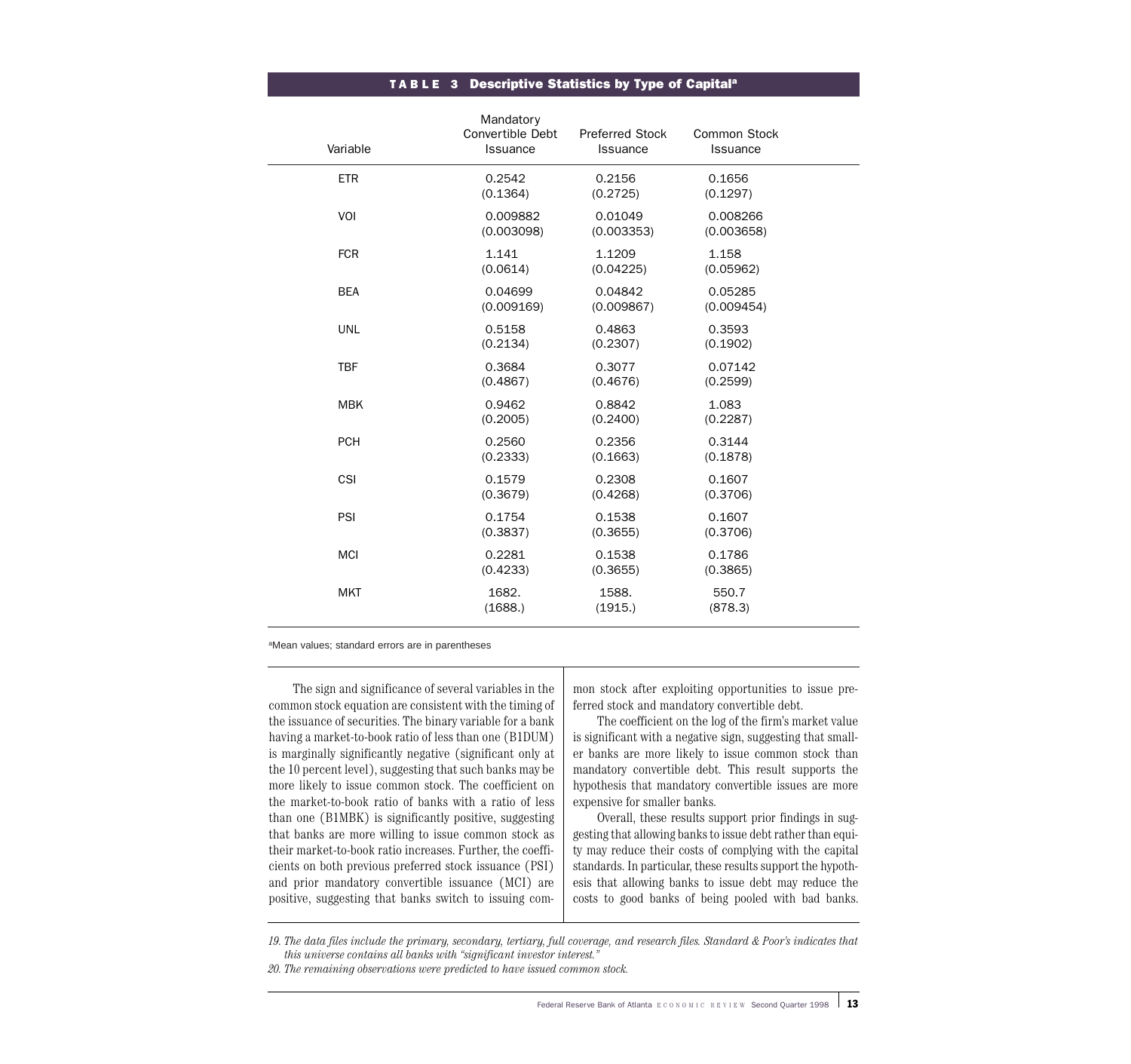#### TABLE 3 Descriptive Statistics by Type of Capital<sup>a</sup>

| Variable   | Mandatory<br>Convertible Debt<br>Issuance | Preferred Stock<br>Issuance | Common Stock<br>Issuance |
|------------|-------------------------------------------|-----------------------------|--------------------------|
| <b>ETR</b> | 0.2542<br>(0.1364)                        | 0.2156<br>(0.2725)          | 0.1656<br>(0.1297)       |
| VOI        | 0.009882<br>(0.003098)                    | 0.01049<br>(0.003353)       | 0.008266<br>(0.003658)   |
| <b>FCR</b> | 1.141<br>(0.0614)                         | 1.1209<br>(0.04225)         | 1.158<br>(0.05962)       |
| <b>BEA</b> | 0.04699<br>(0.009169)                     | 0.04842<br>(0.009867)       | 0.05285<br>(0.009454)    |
| <b>UNL</b> | 0.5158<br>(0.2134)                        | 0.4863<br>(0.2307)          | 0.3593<br>(0.1902)       |
| <b>TBF</b> | 0.3684<br>(0.4867)                        | 0.3077<br>(0.4676)          | 0.07142<br>(0.2599)      |
| <b>MBK</b> | 0.9462<br>(0.2005)                        | 0.8842<br>(0.2400)          | 1.083<br>(0.2287)        |
| <b>PCH</b> | 0.2560<br>(0.2333)                        | 0.2356<br>(0.1663)          | 0.3144<br>(0.1878)       |
| CSI        | 0.1579<br>(0.3679)                        | 0.2308<br>(0.4268)          | 0.1607<br>(0.3706)       |
| PSI        | 0.1754<br>(0.3837)                        | 0.1538<br>(0.3655)          | 0.1607<br>(0.3706)       |
| <b>MCI</b> | 0.2281<br>(0.4233)                        | 0.1538<br>(0.3655)          | 0.1786<br>(0.3865)       |
| <b>MKT</b> | 1682.<br>(1688.)                          | 1588.<br>(1915.)            | 550.7<br>(878.3)         |
|            |                                           |                             |                          |

aMean values; standard errors are in parentheses

The sign and significance of several variables in the common stock equation are consistent with the timing of the issuance of securities. The binary variable for a bank having a market-to-book ratio of less than one (B1DUM) is marginally significantly negative (significant only at the 10 percent level), suggesting that such banks may be more likely to issue common stock. The coefficient on the market-to-book ratio of banks with a ratio of less than one (B1MBK) is significantly positive, suggesting that banks are more willing to issue common stock as their market-to-book ratio increases. Further, the coefficients on both previous preferred stock issuance (PSI) and prior mandatory convertible issuance (MCI) are positive, suggesting that banks switch to issuing common stock after exploiting opportunities to issue preferred stock and mandatory convertible debt.

The coefficient on the log of the firm's market value is significant with a negative sign, suggesting that smaller banks are more likely to issue common stock than mandatory convertible debt. This result supports the hypothesis that mandatory convertible issues are more expensive for smaller banks.

Overall, these results support prior findings in suggesting that allowing banks to issue debt rather than equity may reduce their costs of complying with the capital standards. In particular, these results support the hypothesis that allowing banks to issue debt may reduce the costs to good banks of being pooled with bad banks.

*19. The data files include the primary, secondary, tertiary, full coverage, and research files. Standard & Poor's indicates that this universe contains all banks with "significant investor interest."*

*20. The remaining observations were predicted to have issued common stock.*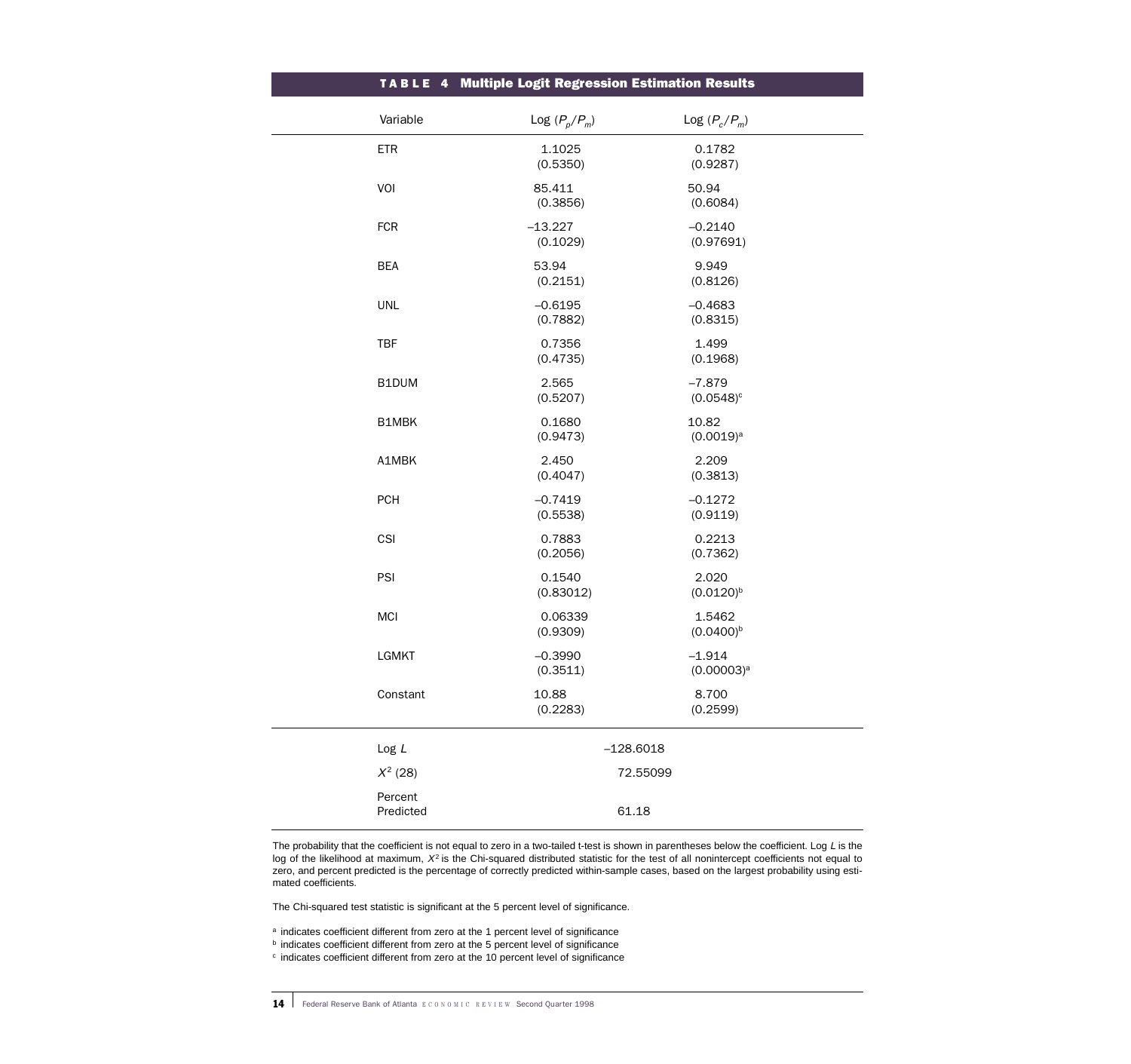|                      | TABLE 4 Multiple Logit Regression Estimation Results |                           |  |
|----------------------|------------------------------------------------------|---------------------------|--|
| Variable             | Log $(P_p/P_m)$                                      | Log $(P_c/P_m)$           |  |
| <b>ETR</b>           | 1.1025<br>(0.5350)                                   | 0.1782<br>(0.9287)        |  |
| VOI                  | 85.411<br>(0.3856)                                   | 50.94<br>(0.6084)         |  |
| <b>FCR</b>           | $-13.227$<br>(0.1029)                                | $-0.2140$<br>(0.97691)    |  |
| <b>BEA</b>           | 53.94<br>(0.2151)                                    | 9.949<br>(0.8126)         |  |
| <b>UNL</b>           | $-0.6195$<br>(0.7882)                                | $-0.4683$<br>(0.8315)     |  |
| TBF                  | 0.7356<br>(0.4735)                                   | 1.499<br>(0.1968)         |  |
| B1DUM                | 2.565<br>(0.5207)                                    | $-7.879$<br>$(0.0548)^c$  |  |
| B1MBK                | 0.1680<br>(0.9473)                                   | 10.82<br>$(0.0019)^a$     |  |
| A1MBK                | 2.450<br>(0.4047)                                    | 2.209<br>(0.3813)         |  |
| <b>PCH</b>           | $-0.7419$<br>(0.5538)                                | $-0.1272$<br>(0.9119)     |  |
| CSI                  | 0.7883<br>(0.2056)                                   | 0.2213<br>(0.7362)        |  |
| PSI                  | 0.1540<br>(0.83012)                                  | 2.020<br>$(0.0120)^{b}$   |  |
| <b>MCI</b>           | 0.06339<br>(0.9309)                                  | 1.5462<br>$(0.0400)^{b}$  |  |
| LGMKT                | $-0.3990$<br>(0.3511)                                | $-1.914$<br>$(0.00003)^a$ |  |
| Constant             | 10.88<br>(0.2283)                                    | 8.700<br>(0.2599)         |  |
| Log L                | $-128.6018$                                          |                           |  |
| $X^2$ (28)           |                                                      | 72.55099                  |  |
| Percent<br>Predicted | 61.18                                                |                           |  |

The probability that the coefficient is not equal to zero in a two-tailed t-test is shown in parentheses below the coefficient. Log  $L$  is the log of the likelihood at maximum,  $X^2$  is the Chi-squared distributed statistic for the test of all nonintercept coefficients not equal to zero, and percent predicted is the percentage of correctly predicted within-sample cases, based on the largest probability using estimated coefficients.

The Chi-squared test statistic is significant at the 5 percent level of significance.

a indicates coefficient different from zero at the 1 percent level of significance

**b** indicates coefficient different from zero at the 5 percent level of significance

<sup>c</sup> indicates coefficient different from zero at the 10 percent level of significance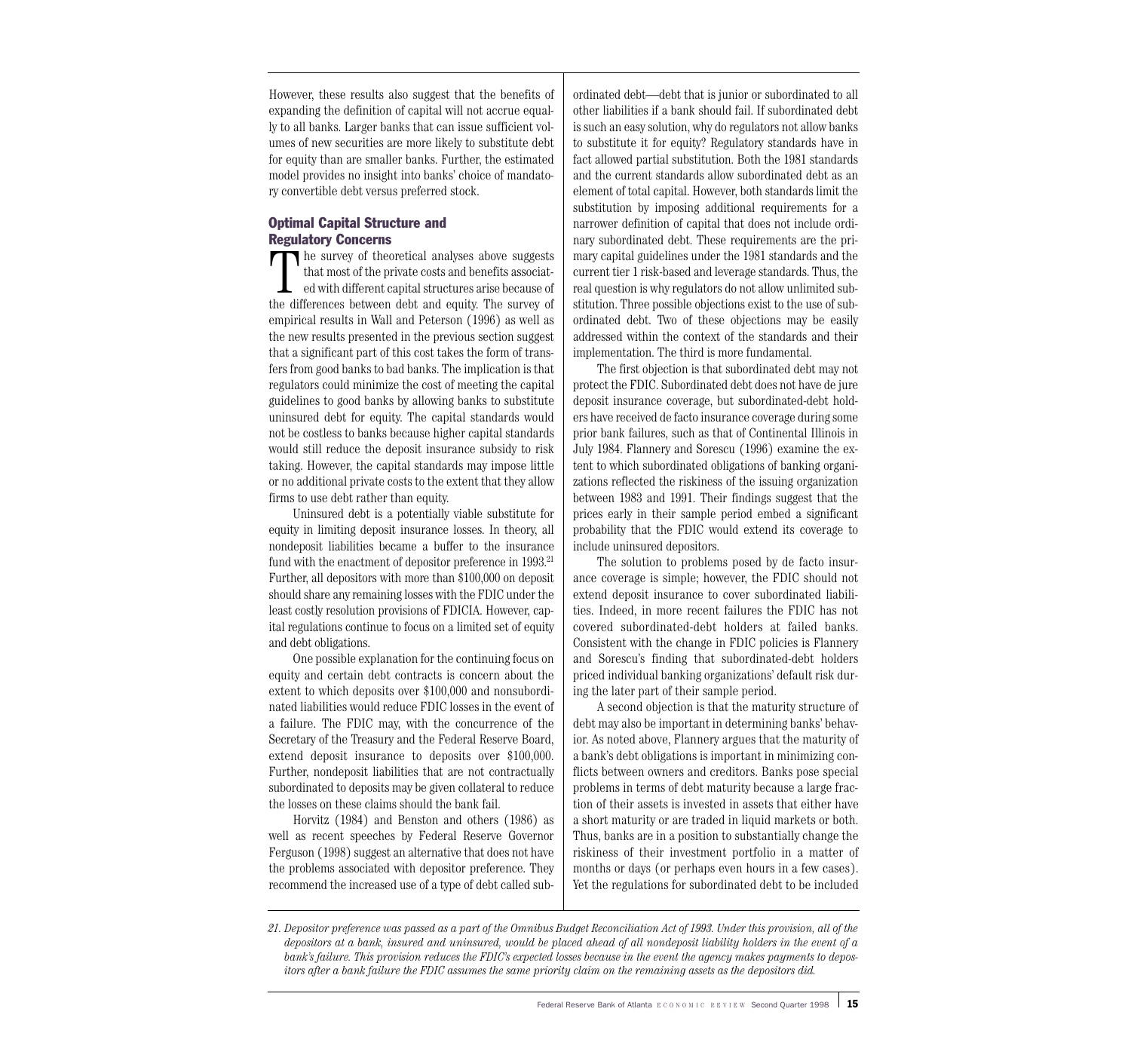However, these results also suggest that the benefits of expanding the definition of capital will not accrue equally to all banks. Larger banks that can issue sufficient volumes of new securities are more likely to substitute debt for equity than are smaller banks. Further, the estimated model provides no insight into banks' choice of mandatory convertible debt versus preferred stock.

## Optimal Capital Structure and Regulatory Concerns

The survey of theoretical analyses above suggests that most of the private costs and benefits associated with different capital structures arise because of the differences between debt and equity. The survey of empirical results in Wall and Peterson (1996) as well as the new results presented in the previous section suggest that a significant part of this cost takes the form of transfers from good banks to bad banks. The implication is that regulators could minimize the cost of meeting the capital guidelines to good banks by allowing banks to substitute uninsured debt for equity. The capital standards would not be costless to banks because higher capital standards would still reduce the deposit insurance subsidy to risk taking. However, the capital standards may impose little or no additional private costs to the extent that they allow firms to use debt rather than equity.

Uninsured debt is a potentially viable substitute for equity in limiting deposit insurance losses. In theory, all nondeposit liabilities became a buffer to the insurance fund with the enactment of depositor preference in 1993.<sup>21</sup> Further, all depositors with more than \$100,000 on deposit should share any remaining losses with the FDIC under the least costly resolution provisions of FDICIA. However, capital regulations continue to focus on a limited set of equity and debt obligations.

One possible explanation for the continuing focus on equity and certain debt contracts is concern about the extent to which deposits over \$100,000 and nonsubordinated liabilities would reduce FDIC losses in the event of a failure. The FDIC may, with the concurrence of the Secretary of the Treasury and the Federal Reserve Board, extend deposit insurance to deposits over \$100,000. Further, nondeposit liabilities that are not contractually subordinated to deposits may be given collateral to reduce the losses on these claims should the bank fail.

Horvitz (1984) and Benston and others (1986) as well as recent speeches by Federal Reserve Governor Ferguson (1998) suggest an alternative that does not have the problems associated with depositor preference. They recommend the increased use of a type of debt called subordinated debt—debt that is junior or subordinated to all other liabilities if a bank should fail. If subordinated debt is such an easy solution, why do regulators not allow banks to substitute it for equity? Regulatory standards have in fact allowed partial substitution. Both the 1981 standards and the current standards allow subordinated debt as an element of total capital. However, both standards limit the substitution by imposing additional requirements for a narrower definition of capital that does not include ordinary subordinated debt. These requirements are the primary capital guidelines under the 1981 standards and the current tier 1 risk-based and leverage standards. Thus, the real question is why regulators do not allow unlimited substitution. Three possible objections exist to the use of subordinated debt. Two of these objections may be easily addressed within the context of the standards and their implementation. The third is more fundamental.

The first objection is that subordinated debt may not protect the FDIC. Subordinated debt does not have de jure deposit insurance coverage, but subordinated-debt holders have received de facto insurance coverage during some prior bank failures, such as that of Continental Illinois in July 1984. Flannery and Sorescu (1996) examine the extent to which subordinated obligations of banking organizations reflected the riskiness of the issuing organization between 1983 and 1991. Their findings suggest that the prices early in their sample period embed a significant probability that the FDIC would extend its coverage to include uninsured depositors.

The solution to problems posed by de facto insurance coverage is simple; however, the FDIC should not extend deposit insurance to cover subordinated liabilities. Indeed, in more recent failures the FDIC has not covered subordinated-debt holders at failed banks. Consistent with the change in FDIC policies is Flannery and Sorescu's finding that subordinated-debt holders priced individual banking organizations' default risk during the later part of their sample period.

A second objection is that the maturity structure of debt may also be important in determining banks' behavior. As noted above, Flannery argues that the maturity of a bank's debt obligations is important in minimizing conflicts between owners and creditors. Banks pose special problems in terms of debt maturity because a large fraction of their assets is invested in assets that either have a short maturity or are traded in liquid markets or both. Thus, banks are in a position to substantially change the riskiness of their investment portfolio in a matter of months or days (or perhaps even hours in a few cases). Yet the regulations for subordinated debt to be included

*21. Depositor preference was passed as a part of the Omnibus Budget Reconciliation Act of 1993. Under this provision, all of the depositors at a bank, insured and uninsured, would be placed ahead of all nondeposit liability holders in the event of a bank's failure. This provision reduces the FDIC's expected losses because in the event the agency makes payments to depositors after a bank failure the FDIC assumes the same priority claim on the remaining assets as the depositors did.*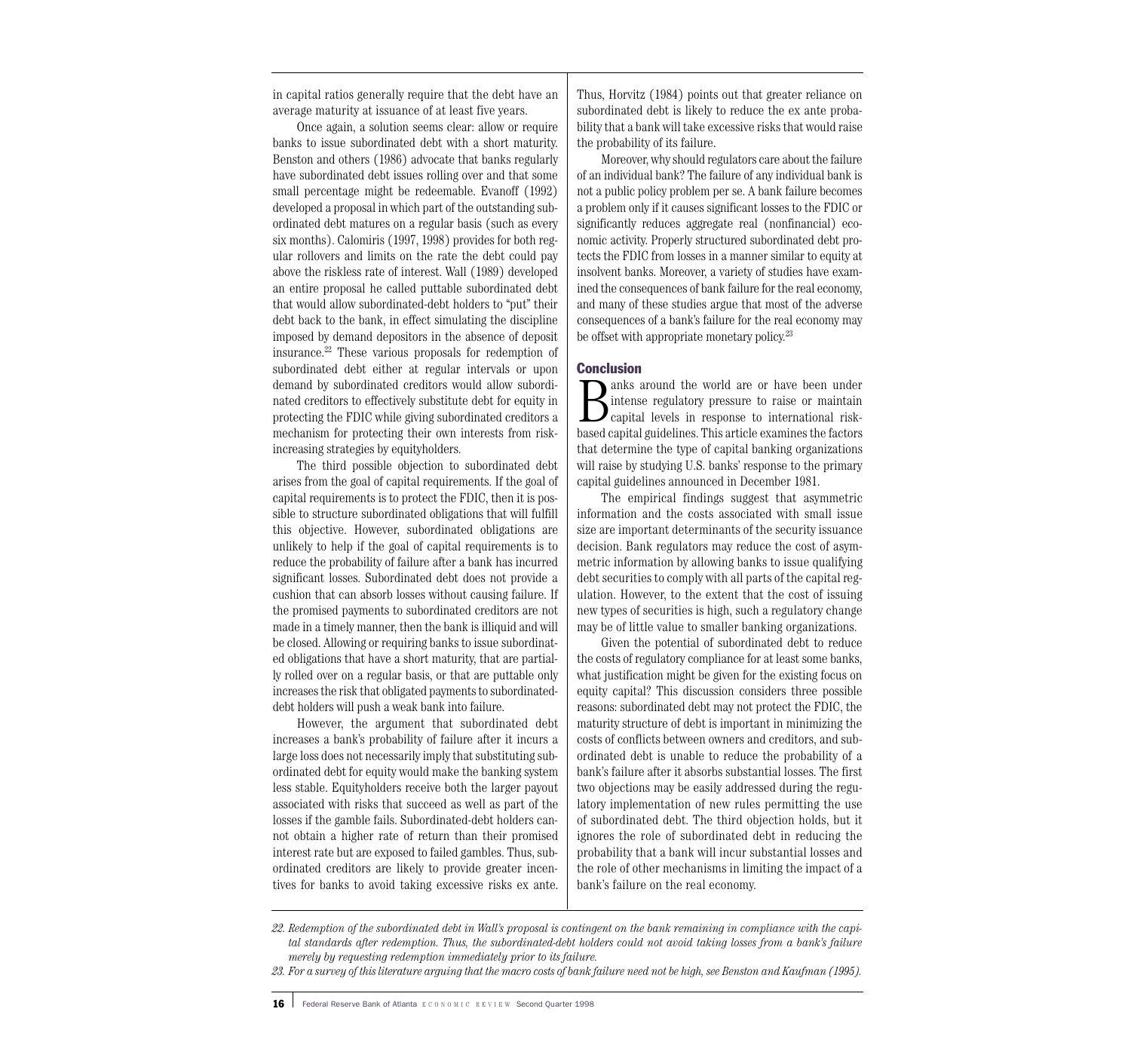in capital ratios generally require that the debt have an average maturity at issuance of at least five years.

Once again, a solution seems clear: allow or require banks to issue subordinated debt with a short maturity. Benston and others (1986) advocate that banks regularly have subordinated debt issues rolling over and that some small percentage might be redeemable. Evanoff (1992) developed a proposal in which part of the outstanding subordinated debt matures on a regular basis (such as every six months). Calomiris (1997, 1998) provides for both regular rollovers and limits on the rate the debt could pay above the riskless rate of interest. Wall (1989) developed an entire proposal he called puttable subordinated debt that would allow subordinated-debt holders to "put" their debt back to the bank, in effect simulating the discipline imposed by demand depositors in the absence of deposit insurance.22 These various proposals for redemption of subordinated debt either at regular intervals or upon demand by subordinated creditors would allow subordinated creditors to effectively substitute debt for equity in protecting the FDIC while giving subordinated creditors a mechanism for protecting their own interests from riskincreasing strategies by equityholders.

The third possible objection to subordinated debt arises from the goal of capital requirements. If the goal of capital requirements is to protect the FDIC, then it is possible to structure subordinated obligations that will fulfill this objective. However, subordinated obligations are unlikely to help if the goal of capital requirements is to reduce the probability of failure after a bank has incurred significant losses. Subordinated debt does not provide a cushion that can absorb losses without causing failure. If the promised payments to subordinated creditors are not made in a timely manner, then the bank is illiquid and will be closed. Allowing or requiring banks to issue subordinated obligations that have a short maturity, that are partially rolled over on a regular basis, or that are puttable only increases the risk that obligated payments to subordinateddebt holders will push a weak bank into failure.

However, the argument that subordinated debt increases a bank's probability of failure after it incurs a large loss does not necessarily imply that substituting subordinated debt for equity would make the banking system less stable. Equityholders receive both the larger payout associated with risks that succeed as well as part of the losses if the gamble fails. Subordinated-debt holders cannot obtain a higher rate of return than their promised interest rate but are exposed to failed gambles. Thus, subordinated creditors are likely to provide greater incentives for banks to avoid taking excessive risks ex ante. Thus, Horvitz (1984) points out that greater reliance on subordinated debt is likely to reduce the ex ante probability that a bank will take excessive risks that would raise the probability of its failure.

Moreover, why should regulators care about the failure of an individual bank? The failure of any individual bank is not a public policy problem per se. A bank failure becomes a problem only if it causes significant losses to the FDIC or significantly reduces aggregate real (nonfinancial) economic activity. Properly structured subordinated debt protects the FDIC from losses in a manner similar to equity at insolvent banks. Moreover, a variety of studies have examined the consequences of bank failure for the real economy, and many of these studies argue that most of the adverse consequences of a bank's failure for the real economy may be offset with appropriate monetary policy.<sup>23</sup>

#### **Conclusion**

Banks around the world are or have been under<br>intense regulatory pressure to raise or maintain<br>capital levels in response to international risk-<br>hased capital quidelines. This article examines the factors intense regulatory pressure to raise or maintain capital levels in response to international riskbased capital guidelines. This article examines the factors that determine the type of capital banking organizations will raise by studying U.S. banks' response to the primary capital guidelines announced in December 1981.

The empirical findings suggest that asymmetric information and the costs associated with small issue size are important determinants of the security issuance decision. Bank regulators may reduce the cost of asymmetric information by allowing banks to issue qualifying debt securities to comply with all parts of the capital regulation. However, to the extent that the cost of issuing new types of securities is high, such a regulatory change may be of little value to smaller banking organizations.

Given the potential of subordinated debt to reduce the costs of regulatory compliance for at least some banks, what justification might be given for the existing focus on equity capital? This discussion considers three possible reasons: subordinated debt may not protect the FDIC, the maturity structure of debt is important in minimizing the costs of conflicts between owners and creditors, and subordinated debt is unable to reduce the probability of a bank's failure after it absorbs substantial losses. The first two objections may be easily addressed during the regulatory implementation of new rules permitting the use of subordinated debt. The third objection holds, but it ignores the role of subordinated debt in reducing the probability that a bank will incur substantial losses and the role of other mechanisms in limiting the impact of a bank's failure on the real economy.

*23. For a survey of this literature arguing that the macro costs of bank failure need not be high, see Benston and Kaufman (1995).*

*<sup>22.</sup> Redemption of the subordinated debt in Wall's proposal is contingent on the bank remaining in compliance with the capital standards after redemption. Thus, the subordinated-debt holders could not avoid taking losses from a bank's failure merely by requesting redemption immediately prior to its failure.*